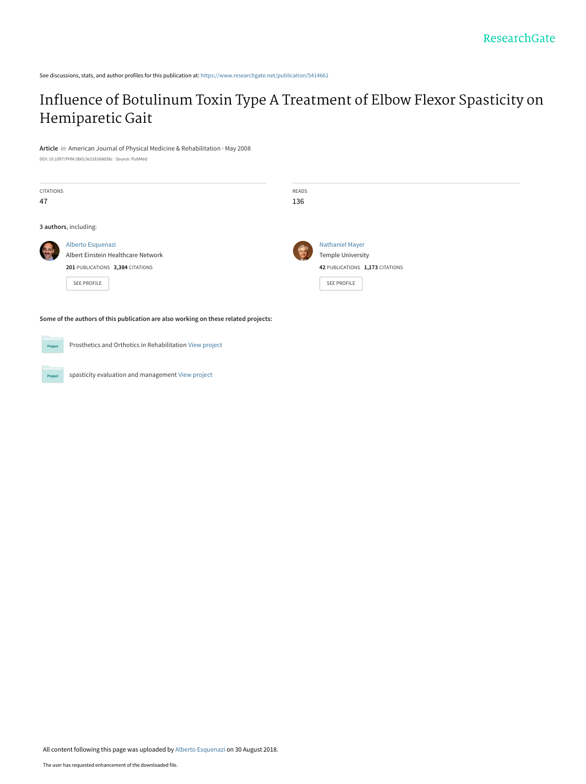See discussions, stats, and author profiles for this publication at: [https://www.researchgate.net/publication/5414661](https://www.researchgate.net/publication/5414661_Influence_of_Botulinum_Toxin_Type_A_Treatment_of_Elbow_Flexor_Spasticity_on_Hemiparetic_Gait?enrichId=rgreq-bc50041597f22959c8c1659b6feb281d-XXX&enrichSource=Y292ZXJQYWdlOzU0MTQ2NjE7QVM6NjY1MTM4MTU1NzY5ODU2QDE1MzU1OTI3MDIyMTQ%3D&el=1_x_2&_esc=publicationCoverPdf)

## [Influence of Botulinum Toxin Type A Treatment of Elbow Flexor Spasticity on](https://www.researchgate.net/publication/5414661_Influence_of_Botulinum_Toxin_Type_A_Treatment_of_Elbow_Flexor_Spasticity_on_Hemiparetic_Gait?enrichId=rgreq-bc50041597f22959c8c1659b6feb281d-XXX&enrichSource=Y292ZXJQYWdlOzU0MTQ2NjE7QVM6NjY1MTM4MTU1NzY5ODU2QDE1MzU1OTI3MDIyMTQ%3D&el=1_x_3&_esc=publicationCoverPdf) Hemiparetic Gait

**Article** in American Journal of Physical Medicine & Rehabilitation · May 2008

DOI: 10.1097/PHM.0b013e318168d36c · Source: PubMed

| <b>CITATIONS</b><br>47                                                              |                                                                                                                   | READS<br>136 |                                                                                                             |
|-------------------------------------------------------------------------------------|-------------------------------------------------------------------------------------------------------------------|--------------|-------------------------------------------------------------------------------------------------------------|
| 3 authors, including:                                                               |                                                                                                                   |              |                                                                                                             |
|                                                                                     | Alberto Esquenazi<br>Albert Einstein Healthcare Network<br>201 PUBLICATIONS 3,384 CITATIONS<br><b>SEE PROFILE</b> |              | <b>Nathaniel Mayer</b><br><b>Temple University</b><br>42 PUBLICATIONS 1,173 CITATIONS<br><b>SEE PROFILE</b> |
| Some of the authors of this publication are also working on these related projects: |                                                                                                                   |              |                                                                                                             |

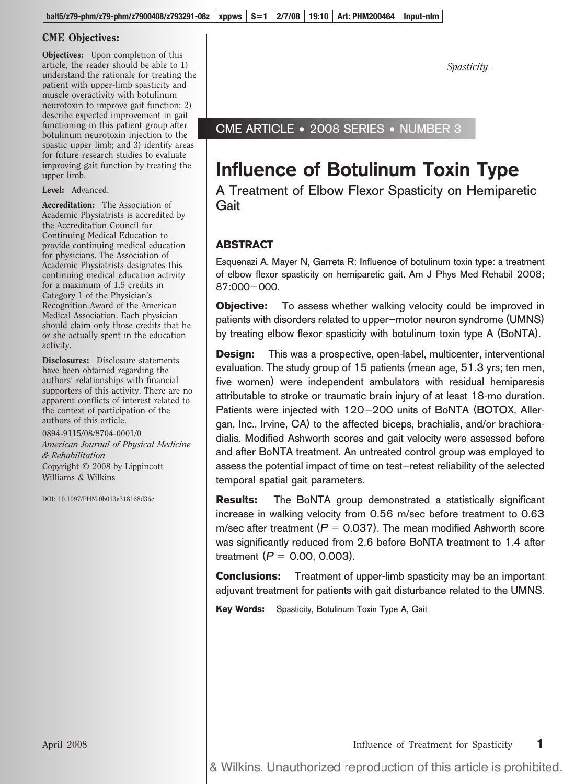#### CME Objectives:

Objectives: Upon completion of this article, the reader should be able to 1) understand the rationale for treating the patient with upper-limb spasticity and muscle overactivity with botulinum neurotoxin to improve gait function; 2) describe expected improvement in gait functioning in this patient group after botulinum neurotoxin injection to the spastic upper limb; and 3) identify areas for future research studies to evaluate improving gait function by treating the upper limb.

Level: Advanced.

Accreditation: The Association of Academic Physiatrists is accredited by the Accreditation Council for Continuing Medical Education to provide continuing medical education for physicians. The Association of Academic Physiatrists designates this continuing medical education activity for a maximum of 1.5 credits in Category 1 of the Physician's Recognition Award of the American Medical Association. Each physician should claim only those credits that he or she actually spent in the education activity.

Disclosures: Disclosure statements have been obtained regarding the authors' relationships with financial supporters of this activity. There are no apparent conflicts of interest related to the context of participation of the authors of this article.

0894-9115/08/8704-0001/0 *American Journal of Physical Medicine & Rehabilitation* Copyright © 2008 by Lippincott Williams & Wilkins

DOI: 10.1097/PHM.0b013e318168d36c

*Spasticity*

### CME ARTICLE • 2008 SERIES • NUMBER 3

# **Influence of Botulinum Toxin Type**

A Treatment of Elbow Flexor Spasticity on Hemiparetic Gait

### **ABSTRACT**

Esquenazi A, Mayer N, Garreta R: Influence of botulinum toxin type: a treatment of elbow flexor spasticity on hemiparetic gait. Am J Phys Med Rehabil 2008; 87:000–000.

**Objective:** To assess whether walking velocity could be improved in patients with disorders related to upper–motor neuron syndrome (UMNS) by treating elbow flexor spasticity with botulinum toxin type A (BoNTA).

**Design:** This was a prospective, open-label, multicenter, interventional evaluation. The study group of 15 patients (mean age, 51.3 yrs; ten men, five women) were independent ambulators with residual hemiparesis attributable to stroke or traumatic brain injury of at least 18-mo duration. Patients were injected with 120–200 units of BoNTA (BOTOX, Allergan, Inc., Irvine, CA) to the affected biceps, brachialis, and/or brachioradialis. Modified Ashworth scores and gait velocity were assessed before and after BoNTA treatment. An untreated control group was employed to assess the potential impact of time on test–retest reliability of the selected temporal spatial gait parameters.

**Results:** The BoNTA group demonstrated a statistically significant increase in walking velocity from 0.56 m/sec before treatment to 0.63 m/sec after treatment ( $P = 0.037$ ). The mean modified Ashworth score was significantly reduced from 2.6 before BoNTA treatment to 1.4 after treatment  $(P = 0.00, 0.003)$ .

**Conclusions:** Treatment of upper-limb spasticity may be an important adjuvant treatment for patients with gait disturbance related to the UMNS.

**Key Words:** Spasticity, Botulinum Toxin Type A, Gait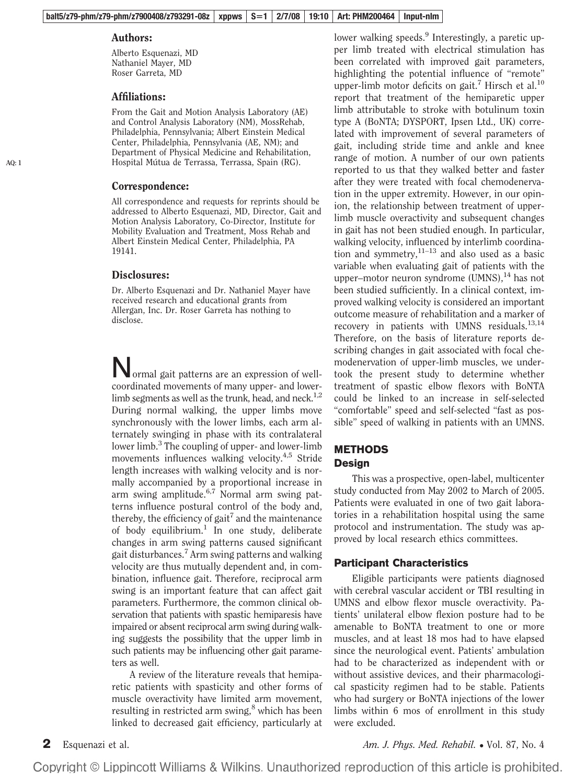#### Authors:

Alberto Esquenazi, MD Nathaniel Mayer, MD Roser Garreta, MD

#### Affiliations:

From the Gait and Motion Analysis Laboratory (AE) and Control Analysis Laboratory (NM), MossRehab, Philadelphia, Pennsylvania; Albert Einstein Medical Center, Philadelphia, Pennsylvania (AE, NM); and Department of Physical Medicine and Rehabilitation, Hospital Mútua de Terrassa, Terrassa, Spain (RG).

#### Correspondence:

All correspondence and requests for reprints should be addressed to Alberto Esquenazi, MD, Director, Gait and Motion Analysis Laboratory, Co-Director, Institute for Mobility Evaluation and Treatment, Moss Rehab and Albert Einstein Medical Center, Philadelphia, PA 19141.

#### Disclosures:

Dr. Alberto Esquenazi and Dr. Nathaniel Mayer have received research and educational grants from Allergan, Inc. Dr. Roser Garreta has nothing to disclose.

Normal gait patterns are an expression of wellcoordinated movements of many upper- and lowerlimb segments as well as the trunk, head, and neck.<sup>1,2</sup> During normal walking, the upper limbs move synchronously with the lower limbs, each arm alternately swinging in phase with its contralateral lower limb.<sup>3</sup> The coupling of upper- and lower-limb movements influences walking velocity.<sup>4,5</sup> Stride length increases with walking velocity and is normally accompanied by a proportional increase in arm swing amplitude.<sup>6,7</sup> Normal arm swing patterns influence postural control of the body and, thereby, the efficiency of gait<sup>7</sup> and the maintenance of body equilibrium.<sup>1</sup> In one study, deliberate changes in arm swing patterns caused significant gait disturbances.<sup>7</sup> Arm swing patterns and walking velocity are thus mutually dependent and, in combination, influence gait. Therefore, reciprocal arm swing is an important feature that can affect gait parameters. Furthermore, the common clinical observation that patients with spastic hemiparesis have impaired or absent reciprocal arm swing during walking suggests the possibility that the upper limb in such patients may be influencing other gait parameters as well.

A review of the literature reveals that hemiparetic patients with spasticity and other forms of muscle overactivity have limited arm movement, resulting in restricted arm swing, $8$  which has been linked to decreased gait efficiency, particularly at per limb treated with electrical stimulation has been correlated with improved gait parameters, highlighting the potential influence of "remote" upper-limb motor deficits on gait.<sup>7</sup> Hirsch et al.<sup>10</sup> report that treatment of the hemiparetic upper limb attributable to stroke with botulinum toxin type A (BoNTA; DYSPORT, Ipsen Ltd., UK) correlated with improvement of several parameters of gait, including stride time and ankle and knee range of motion. A number of our own patients reported to us that they walked better and faster after they were treated with focal chemodenervation in the upper extremity. However, in our opinion, the relationship between treatment of upperlimb muscle overactivity and subsequent changes in gait has not been studied enough. In particular, walking velocity, influenced by interlimb coordination and symmetry, $11-13$  and also used as a basic variable when evaluating gait of patients with the upper–motor neuron syndrome  $(UMNS)$ ,<sup>14</sup> has not been studied sufficiently. In a clinical context, improved walking velocity is considered an important outcome measure of rehabilitation and a marker of recovery in patients with UMNS residuals.<sup>13,14</sup> Therefore, on the basis of literature reports describing changes in gait associated with focal chemodenervation of upper-limb muscles, we undertook the present study to determine whether treatment of spastic elbow flexors with BoNTA could be linked to an increase in self-selected "comfortable" speed and self-selected "fast as possible" speed of walking in patients with an UMNS.

lower walking speeds.<sup>9</sup> Interestingly, a paretic up-

#### **METHODS Design**

This was a prospective, open-label, multicenter study conducted from May 2002 to March of 2005. Patients were evaluated in one of two gait laboratories in a rehabilitation hospital using the same protocol and instrumentation. The study was approved by local research ethics committees.

#### **Participant Characteristics**

Eligible participants were patients diagnosed with cerebral vascular accident or TBI resulting in UMNS and elbow flexor muscle overactivity. Patients' unilateral elbow flexion posture had to be amenable to BoNTA treatment to one or more muscles, and at least 18 mos had to have elapsed since the neurological event. Patients' ambulation had to be characterized as independent with or without assistive devices, and their pharmacological spasticity regimen had to be stable. Patients who had surgery or BoNTA injections of the lower limbs within 6 mos of enrollment in this study were excluded.

**2** Esquenazi et al. *Am. J. Phys. Med. Rehabil.* **• Vol. 87, No. 4** *Am. J. Phys. Med. Rehabil.* **• Vol. 87, No. 4**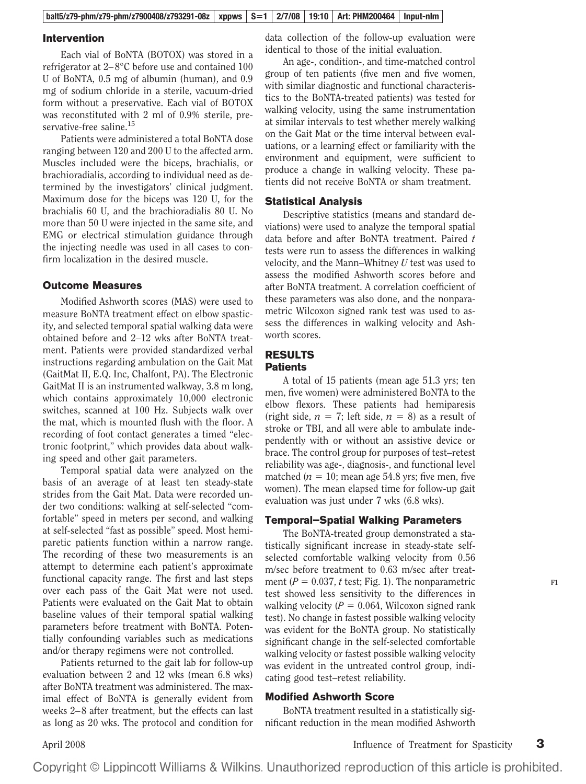#### **balt5/z79-phm/z79-phm/z7900408/z793291-08z xppws S1 2/7/08 19:10 Art: PHM200464 Input-nlm**

#### **Intervention**

Each vial of BoNTA (BOTOX) was stored in a refrigerator at 2–8°C before use and contained 100 U of BoNTA, 0.5 mg of albumin (human), and 0.9 mg of sodium chloride in a sterile, vacuum-dried form without a preservative. Each vial of BOTOX was reconstituted with 2 ml of 0.9% sterile, preservative-free saline.<sup>15</sup>

Patients were administered a total BoNTA dose ranging between 120 and 200 U to the affected arm. Muscles included were the biceps, brachialis, or brachioradialis, according to individual need as determined by the investigators' clinical judgment. Maximum dose for the biceps was 120 U, for the brachialis 60 U, and the brachioradialis 80 U. No more than 50 U were injected in the same site, and EMG or electrical stimulation guidance through the injecting needle was used in all cases to confirm localization in the desired muscle.

#### **Outcome Measures**

Modified Ashworth scores (MAS) were used to measure BoNTA treatment effect on elbow spasticity, and selected temporal spatial walking data were obtained before and 2–12 wks after BoNTA treatment. Patients were provided standardized verbal instructions regarding ambulation on the Gait Mat (GaitMat II, E.Q. Inc, Chalfont, PA). The Electronic GaitMat II is an instrumented walkway, 3.8 m long, which contains approximately 10,000 electronic switches, scanned at 100 Hz. Subjects walk over the mat, which is mounted flush with the floor. A recording of foot contact generates a timed "electronic footprint," which provides data about walking speed and other gait parameters.

Temporal spatial data were analyzed on the basis of an average of at least ten steady-state strides from the Gait Mat. Data were recorded under two conditions: walking at self-selected "comfortable" speed in meters per second, and walking at self-selected "fast as possible" speed. Most hemiparetic patients function within a narrow range. The recording of these two measurements is an attempt to determine each patient's approximate functional capacity range. The first and last steps over each pass of the Gait Mat were not used. Patients were evaluated on the Gait Mat to obtain baseline values of their temporal spatial walking parameters before treatment with BoNTA. Potentially confounding variables such as medications and/or therapy regimens were not controlled.

Patients returned to the gait lab for follow-up evaluation between 2 and 12 wks (mean 6.8 wks) after BoNTA treatment was administered. The maximal effect of BoNTA is generally evident from weeks 2–8 after treatment, but the effects can last as long as 20 wks. The protocol and condition for data collection of the follow-up evaluation were identical to those of the initial evaluation.

An age-, condition-, and time-matched control group of ten patients (five men and five women, with similar diagnostic and functional characteristics to the BoNTA-treated patients) was tested for walking velocity, using the same instrumentation at similar intervals to test whether merely walking on the Gait Mat or the time interval between evaluations, or a learning effect or familiarity with the environment and equipment, were sufficient to produce a change in walking velocity. These patients did not receive BoNTA or sham treatment.

#### **Statistical Analysis**

Descriptive statistics (means and standard deviations) were used to analyze the temporal spatial data before and after BoNTA treatment. Paired *t* tests were run to assess the differences in walking velocity, and the Mann–Whitney *U* test was used to assess the modified Ashworth scores before and after BoNTA treatment. A correlation coefficient of these parameters was also done, and the nonparametric Wilcoxon signed rank test was used to assess the differences in walking velocity and Ashworth scores.

#### **RESULTS Patients**

A total of 15 patients (mean age 51.3 yrs; ten men, five women) were administered BoNTA to the elbow flexors. These patients had hemiparesis (right side,  $n = 7$ ; left side,  $n = 8$ ) as a result of stroke or TBI, and all were able to ambulate independently with or without an assistive device or brace. The control group for purposes of test–retest reliability was age-, diagnosis-, and functional level matched  $(n = 10; \text{ mean age } 54.8 \text{ yrs}; \text{ five men, five)}$ women). The mean elapsed time for follow-up gait evaluation was just under 7 wks (6.8 wks).

#### **Temporal–Spatial Walking Parameters**

The BoNTA-treated group demonstrated a statistically significant increase in steady-state selfselected comfortable walking velocity from 0.56 m/sec before treatment to 0.63 m/sec after treatment ( $P = 0.037$ ,  $t$  test; Fig. 1). The nonparametric test showed less sensitivity to the differences in walking velocity  $(P = 0.064$ , Wilcoxon signed rank test). No change in fastest possible walking velocity was evident for the BoNTA group. No statistically significant change in the self-selected comfortable walking velocity or fastest possible walking velocity was evident in the untreated control group, indicating good test–retest reliability.

#### **Modified Ashworth Score**

BoNTA treatment resulted in a statistically significant reduction in the mean modified Ashworth **F1**

April 2008 Influence of Treatment for Spasticity **3**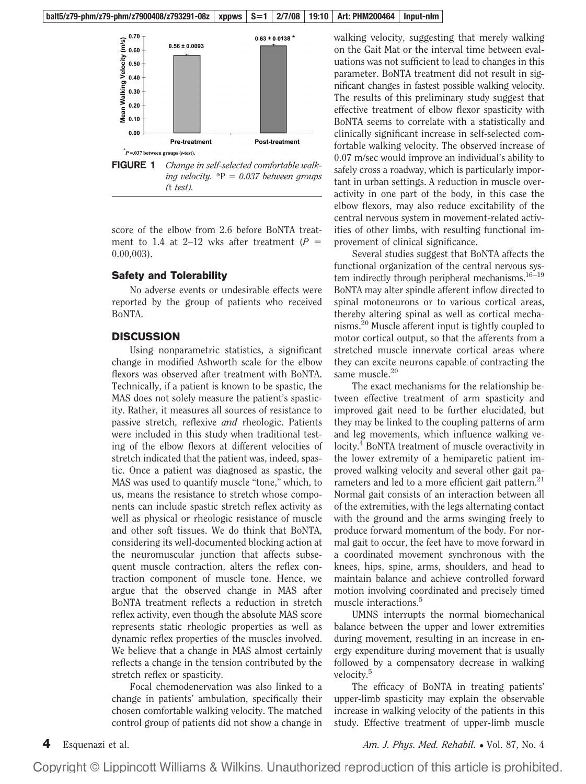

score of the elbow from 2.6 before BoNTA treatment to 1.4 at 2–12 wks after treatment  $(P =$ 0.00,003).

#### **Safety and Tolerability**

No adverse events or undesirable effects were reported by the group of patients who received BoNTA.

#### **DISCUSSION**

Using nonparametric statistics, a significant change in modified Ashworth scale for the elbow flexors was observed after treatment with BoNTA. Technically, if a patient is known to be spastic, the MAS does not solely measure the patient's spasticity. Rather, it measures all sources of resistance to passive stretch, reflexive *and* rheologic. Patients were included in this study when traditional testing of the elbow flexors at different velocities of stretch indicated that the patient was, indeed, spastic. Once a patient was diagnosed as spastic, the MAS was used to quantify muscle "tone," which, to us, means the resistance to stretch whose components can include spastic stretch reflex activity as well as physical or rheologic resistance of muscle and other soft tissues. We do think that BoNTA, considering its well-documented blocking action at the neuromuscular junction that affects subsequent muscle contraction, alters the reflex contraction component of muscle tone. Hence, we argue that the observed change in MAS after BoNTA treatment reflects a reduction in stretch reflex activity, even though the absolute MAS score represents static rheologic properties as well as dynamic reflex properties of the muscles involved. We believe that a change in MAS almost certainly reflects a change in the tension contributed by the stretch reflex or spasticity.

Focal chemodenervation was also linked to a change in patients' ambulation, specifically their chosen comfortable walking velocity. The matched control group of patients did not show a change in walking velocity, suggesting that merely walking on the Gait Mat or the interval time between evaluations was not sufficient to lead to changes in this parameter. BoNTA treatment did not result in significant changes in fastest possible walking velocity. The results of this preliminary study suggest that effective treatment of elbow flexor spasticity with BoNTA seems to correlate with a statistically and clinically significant increase in self-selected comfortable walking velocity. The observed increase of 0.07 m/sec would improve an individual's ability to safely cross a roadway, which is particularly important in urban settings. A reduction in muscle overactivity in one part of the body, in this case the elbow flexors, may also reduce excitability of the central nervous system in movement-related activities of other limbs, with resulting functional improvement of clinical significance.

Several studies suggest that BoNTA affects the functional organization of the central nervous system indirectly through peripheral mechanisms.<sup>16-19</sup> BoNTA may alter spindle afferent inflow directed to spinal motoneurons or to various cortical areas, thereby altering spinal as well as cortical mechanisms.20 Muscle afferent input is tightly coupled to motor cortical output, so that the afferents from a stretched muscle innervate cortical areas where they can excite neurons capable of contracting the same muscle. $20$ 

The exact mechanisms for the relationship between effective treatment of arm spasticity and improved gait need to be further elucidated, but they may be linked to the coupling patterns of arm and leg movements, which influence walking velocity.<sup>4</sup> BoNTA treatment of muscle overactivity in the lower extremity of a hemiparetic patient improved walking velocity and several other gait parameters and led to a more efficient gait pattern.<sup>21</sup> Normal gait consists of an interaction between all of the extremities, with the legs alternating contact with the ground and the arms swinging freely to produce forward momentum of the body. For normal gait to occur, the feet have to move forward in a coordinated movement synchronous with the knees, hips, spine, arms, shoulders, and head to maintain balance and achieve controlled forward motion involving coordinated and precisely timed muscle interactions.<sup>5</sup>

UMNS interrupts the normal biomechanical balance between the upper and lower extremities during movement, resulting in an increase in energy expenditure during movement that is usually followed by a compensatory decrease in walking velocity.<sup>5</sup>

The efficacy of BoNTA in treating patients' upper-limb spasticity may explain the observable increase in walking velocity of the patients in this study. Effective treatment of upper-limb muscle

**4** Esquenazi et al. *Am. J. Phys. Med. Rehabil.* ● Vol. 87, No. 4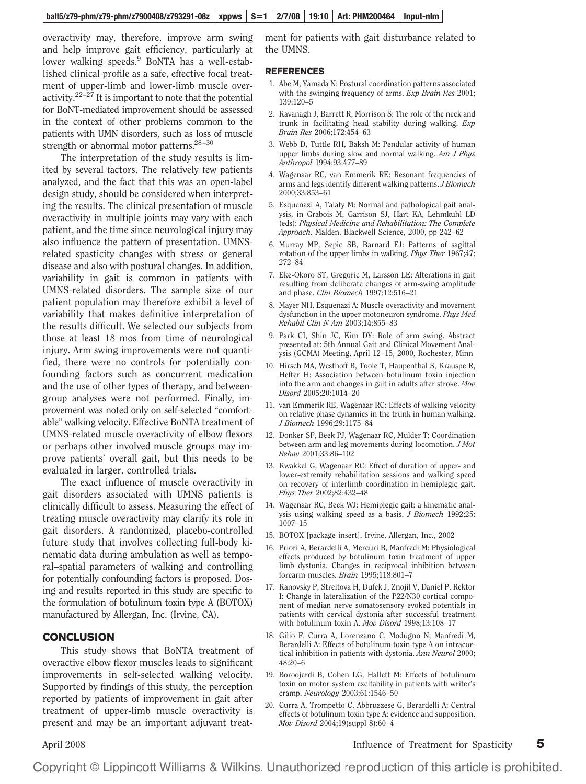overactivity may, therefore, improve arm swing and help improve gait efficiency, particularly at lower walking speeds.<sup>9</sup> BoNTA has a well-established clinical profile as a safe, effective focal treatment of upper-limb and lower-limb muscle overactivity.<sup>22–27</sup> It is important to note that the potential for BoNT-mediated improvement should be assessed in the context of other problems common to the patients with UMN disorders, such as loss of muscle strength or abnormal motor patterns. $28-30$ 

The interpretation of the study results is limited by several factors. The relatively few patients analyzed, and the fact that this was an open-label design study, should be considered when interpreting the results. The clinical presentation of muscle overactivity in multiple joints may vary with each patient, and the time since neurological injury may also influence the pattern of presentation. UMNSrelated spasticity changes with stress or general disease and also with postural changes. In addition, variability in gait is common in patients with UMNS-related disorders. The sample size of our patient population may therefore exhibit a level of variability that makes definitive interpretation of the results difficult. We selected our subjects from those at least 18 mos from time of neurological injury. Arm swing improvements were not quantified, there were no controls for potentially confounding factors such as concurrent medication and the use of other types of therapy, and betweengroup analyses were not performed. Finally, improvement was noted only on self-selected "comfortable" walking velocity. Effective BoNTA treatment of UMNS-related muscle overactivity of elbow flexors or perhaps other involved muscle groups may improve patients' overall gait, but this needs to be evaluated in larger, controlled trials.

The exact influence of muscle overactivity in gait disorders associated with UMNS patients is clinically difficult to assess. Measuring the effect of treating muscle overactivity may clarify its role in gait disorders. A randomized, placebo-controlled future study that involves collecting full-body kinematic data during ambulation as well as temporal–spatial parameters of walking and controlling for potentially confounding factors is proposed. Dosing and results reported in this study are specific to the formulation of botulinum toxin type A (BOTOX) manufactured by Allergan, Inc. (Irvine, CA).

#### **CONCLUSION**

This study shows that BoNTA treatment of overactive elbow flexor muscles leads to significant improvements in self-selected walking velocity. Supported by findings of this study, the perception reported by patients of improvement in gait after treatment of upper-limb muscle overactivity is present and may be an important adjuvant treatment for patients with gait disturbance related to the UMNS.

#### **REFERENCES**

- 1. Abe M, Yamada N: Postural coordination patterns associated with the swinging frequency of arms. *Exp Brain Res* 2001; 139:120–5
- 2. Kavanagh J, Barrett R, Morrison S: The role of the neck and trunk in facilitating head stability during walking. *Exp Brain Res* 2006;172:454–63
- 3. Webb D, Tuttle RH, Baksh M: Pendular activity of human upper limbs during slow and normal walking. *Am J Phys Anthropol* 1994;93:477–89
- 4. Wagenaar RC, van Emmerik RE: Resonant frequencies of arms and legs identify different walking patterns. *J Biomech* 2000;33:853–61
- 5. Esquenazi A, Talaty M: Normal and pathological gait analysis, in Grabois M, Garrison SJ, Hart KA, Lehmkuhl LD (eds): *Physical Medicine and Rehabilitation: The Complete Approach.* Malden, Blackwell Science, 2000, pp 242–62
- 6. Murray MP, Sepic SB, Barnard EJ: Patterns of sagittal rotation of the upper limbs in walking. *Phys Ther* 1967;47: 272–84
- 7. Eke-Okoro ST, Gregoric M, Larsson LE: Alterations in gait resulting from deliberate changes of arm-swing amplitude and phase. *Clin Biomech* 1997;12:516–21
- 8. Mayer NH, Esquenazi A: Muscle overactivity and movement dysfunction in the upper motoneuron syndrome. *Phys Med Rehabil Clin N Am* 2003;14:855–83
- 9. Park CI, Shin JC, Kim DY: Role of arm swing. Abstract presented at: 5th Annual Gait and Clinical Movement Analysis (GCMA) Meeting, April 12–15, 2000, Rochester, Minn
- 10. Hirsch MA, Westhoff B, Toole T, Haupenthal S, Krauspe R, Hefter H: Association between botulinum toxin injection into the arm and changes in gait in adults after stroke. *Mov Disord* 2005;20:1014–20
- 11. van Emmerik RE, Wagenaar RC: Effects of walking velocity on relative phase dynamics in the trunk in human walking. *J Biomech* 1996;29:1175–84
- 12. Donker SF, Beek PJ, Wagenaar RC, Mulder T: Coordination between arm and leg movements during locomotion. *J Mot Behav* 2001;33:86–102
- 13. Kwakkel G, Wagenaar RC: Effect of duration of upper- and lower-extremity rehabilitation sessions and walking speed on recovery of interlimb coordination in hemiplegic gait. *Phys Ther* 2002;82:432–48
- 14. Wagenaar RC, Beek WJ: Hemiplegic gait: a kinematic analysis using walking speed as a basis. *J Biomech* 1992;25: 1007–15
- 15. BOTOX [package insert]. Irvine, Allergan, Inc., 2002
- 16. Priori A, Berardelli A, Mercuri B, Manfredi M: Physiological effects produced by botulinum toxin treatment of upper limb dystonia. Changes in reciprocal inhibition between forearm muscles. *Brain* 1995;118:801–7
- 17. Kanovsky P, Streitova H, Dufek J, Znojil V, Daniel P, Rektor I: Change in lateralization of the P22/N30 cortical component of median nerve somatosensory evoked potentials in patients with cervical dystonia after successful treatment with botulinum toxin A. *Mov Disord* 1998;13:108–17
- 18. Gilio F, Curra A, Lorenzano C, Modugno N, Manfredi M, Berardelli A: Effects of botulinum toxin type A on intracortical inhibition in patients with dystonia. *Ann Neurol* 2000; 48:20–6
- 19. Boroojerdi B, Cohen LG, Hallett M: Effects of botulinum toxin on motor system excitability in patients with writer's cramp. *Neurology* 2003;61:1546–50
- 20. Curra A, Trompetto C, Abbruzzese G, Berardelli A: Central effects of botulinum toxin type A: evidence and supposition. *Mov Disord* 2004;19(suppl 8):60–4

April 2008 Influence of Treatment for Spasticity **5**

Copyright © Lippincott Williams & Wilkins. Unauthorized reproduction of this article is prohibited.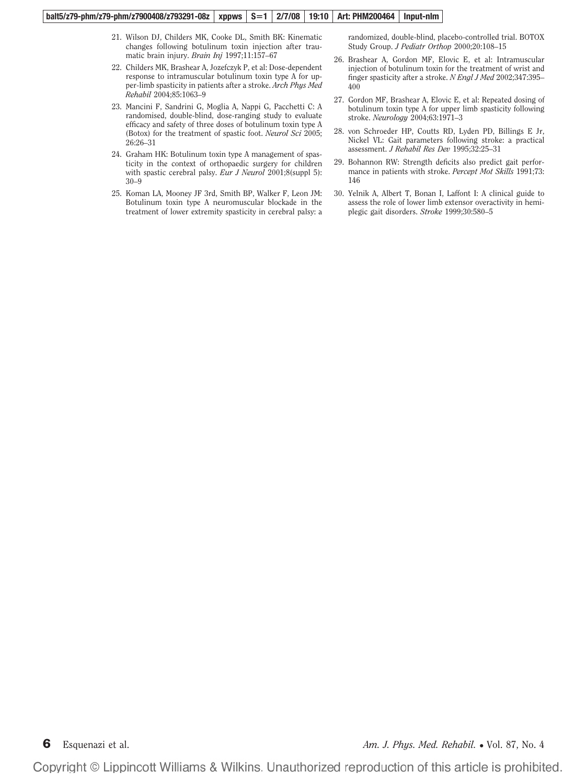#### **balt5/z79-phm/z79-phm/z7900408/z793291-08z xppws S1 2/7/08 19:10 Art: PHM200464 Input-nlm**

- 21. Wilson DJ, Childers MK, Cooke DL, Smith BK: Kinematic changes following botulinum toxin injection after traumatic brain injury. *Brain Inj* 1997;11:157–67
- 22. Childers MK, Brashear A, Jozefczyk P, et al: Dose-dependent response to intramuscular botulinum toxin type A for upper-limb spasticity in patients after a stroke. *Arch Phys Med Rehabil* 2004;85:1063–9
- 23. Mancini F, Sandrini G, Moglia A, Nappi G, Pacchetti C: A randomised, double-blind, dose-ranging study to evaluate efficacy and safety of three doses of botulinum toxin type A (Botox) for the treatment of spastic foot. *Neurol Sci* 2005; 26:26–31
- 24. Graham HK: Botulinum toxin type A management of spasticity in the context of orthopaedic surgery for children with spastic cerebral palsy. *Eur J Neurol* 2001;8(suppl 5): 30–9
- 25. Koman LA, Mooney JF 3rd, Smith BP, Walker F, Leon JM: Botulinum toxin type A neuromuscular blockade in the treatment of lower extremity spasticity in cerebral palsy: a

randomized, double-blind, placebo-controlled trial. BOTOX Study Group. *J Pediatr Orthop* 2000;20:108–15

- 26. Brashear A, Gordon MF, Elovic E, et al: Intramuscular injection of botulinum toxin for the treatment of wrist and finger spasticity after a stroke. *N Engl J Med* 2002;347:395– 400
- 27. Gordon MF, Brashear A, Elovic E, et al: Repeated dosing of botulinum toxin type A for upper limb spasticity following stroke. *Neurology* 2004;63:1971–3
- 28. von Schroeder HP, Coutts RD, Lyden PD, Billings E Jr, Nickel VL: Gait parameters following stroke: a practical assessment. *J Rehabil Res Dev* 1995;32:25–31
- 29. Bohannon RW: Strength deficits also predict gait performance in patients with stroke. *Percept Mot Skills* 1991;73: 146
- 30. Yelnik A, Albert T, Bonan I, Laffont I: A clinical guide to assess the role of lower limb extensor overactivity in hemiplegic gait disorders. *Stroke* 1999;30:580–5

**6** Esquenazi et al. *Am. J. Phys. Med. Rehabil.* **• Vol. 87, No. 4** *Am. J. Phys. Med. Rehabil.* **• Vol. 87, No. 4**